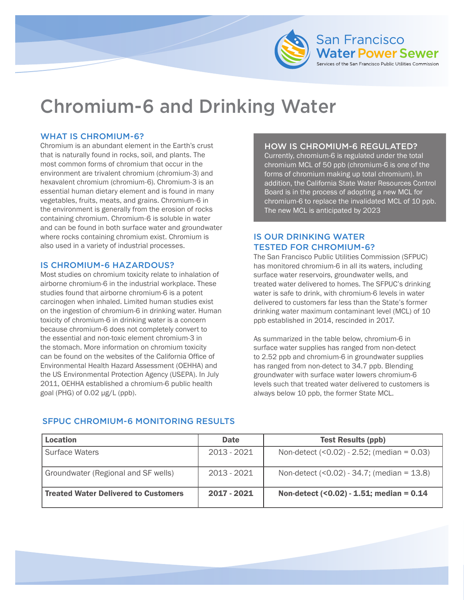

# Chromium-6 and Drinking Water

## WHAT IS CHROMIUM-6?

Chromium is an abundant element in the Earth's crust that is naturally found in rocks, soil, and plants. The most common forms of chromium that occur in the environment are trivalent chromium (chromium-3) and hexavalent chromium (chromium-6). Chromium-3 is an essential human dietary element and is found in many vegetables, fruits, meats, and grains. Chromium-6 in the environment is generally from the erosion of rocks containing chromium. Chromium-6 is soluble in water and can be found in both surface water and groundwater where rocks containing chromium exist. Chromium is also used in a variety of industrial processes.

## IS CHROMIUM-6 HAZARDOUS?

Most studies on chromium toxicity relate to inhalation of airborne chromium-6 in the industrial workplace. These studies found that airborne chromium-6 is a potent carcinogen when inhaled. Limited human studies exist on the ingestion of chromium-6 in drinking water. Human toxicity of chromium-6 in drinking water is a concern because chromium-6 does not completely convert to the essential and non-toxic element chromium-3 in the stomach. More information on chromium toxicity can be found on the websites of the California Office of Environmental Health Hazard Assessment (OEHHA) and the US Environmental Protection Agency (USEPA). In July 2011, OEHHA established a chromium-6 public health goal (PHG) of 0.02 µg/L (ppb).

## HOW IS CHROMIUM-6 REGULATED?

Currently, chromium-6 is regulated under the total chromium MCL of 50 ppb (chromium-6 is one of the forms of chromium making up total chromium). In addition, the California State Water Resources Control Board is in the process of adopting a new MCL for chromium-6 to replace the invalidated MCL of 10 ppb. The new MCL is anticipated by 2023

## IS OUR DRINKING WATER TESTED FOR CHROMIUM-6?

The San Francisco Public Utilities Commission (SFPUC) has monitored chromium-6 in all its waters, including surface water reservoirs, groundwater wells, and treated water delivered to homes. The SFPUC's drinking water is safe to drink, with chromium-6 levels in water delivered to customers far less than the State's former drinking water maximum contaminant level (MCL) of 10 ppb established in 2014, rescinded in 2017.

As summarized in the table below, chromium-6 in surface water supplies has ranged from non-detect to 2.52 ppb and chromium-6 in groundwater supplies has ranged from non-detect to 34.7 ppb. Blending groundwater with surface water lowers chromium-6 levels such that treated water delivered to customers is always below 10 ppb, the former State MCL.

| Location                             | <b>Date</b>   | <b>Test Results (ppb)</b>                    |
|--------------------------------------|---------------|----------------------------------------------|
| <b>Surface Waters</b>                | 2013 - 2021   | Non-detect $(0.02) - 2.52$ ; (median = 0.03) |
| Groundwater (Regional and SF wells)  | $2013 - 2021$ | Non-detect $(0.02) - 34.7$ ; (median = 13.8) |
| Treated Water Delivered to Customers | $2017 - 2021$ | Non-detect $(0.02) - 1.51$ ; median = 0.14   |

## SFPUC CHROMIUM-6 MONITORING RESULTS